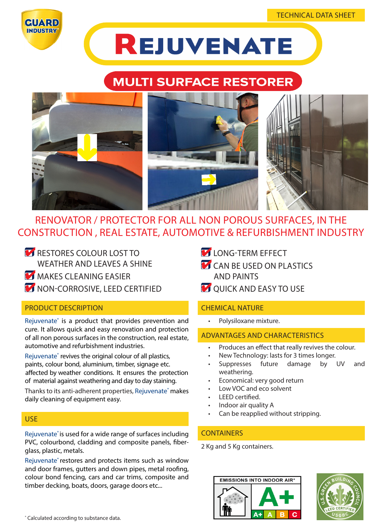



# **REJUVENATE**

## **MULTI SURFACE RESTORER**



### RENOVATOR / PROTECTOR FOR ALL NON POROUS SURFACES, IN THE CONSTRUCTION , REAL ESTATE, AUTOMOTIVE & REFURBISHMENT INDUSTRY

- RESTORES COLOUR LOST TO WEATHER AND LEAVES A SHINE
- **MAKES CLEANING EASIER**
- **NON-CORROSIVE, LEED CERTIFIED**

#### PRODUCT DESCRIPTION

Rejuvenate® is a product that provides prevention and cure. It allows quick and easy renovation and protection of all non porous surfaces in the construction, real estate, automotive and refurbishment industries.

Rejuvenate® revives the original colour of all plastics, paints, colour bond, aluminium, timber, signage etc. affected by weather conditions. It ensures the protection of material against weathering and day to day staining.

Thanks to its anti-adherent properties, Rejuvenate® makes daily cleaning of equipment easy.

#### USE

Rejuvenate® is used for a wide range of surfaces including PVC, colourbond, cladding and composite panels, fiberglass, plastic, metals.

Rejuvenate® restores and protects items such as window and door frames, gutters and down pipes, metal roofing, colour bond fencing, cars and car trims, composite and timber decking, boats, doors, garage doors etc...

- **LONG-TERM EFFECT**
- **CAN BE USED ON PLASTICS** AND PAINTS
- **QUICK AND EASY TO USE**

#### CHEMICAL NATURE

• Polysiloxane mixture.

#### ADVANTAGES AND CHARACTERISTICS

- Produces an effect that really revives the colour.
- New Technology: lasts for 3 times longer.
- Suppresses future damage by UV and weathering.
- Economical: very good return
- Low VOC and eco solvent
- LEED certified.
- Indoor air quality A
- Can be reapplied without stripping.

#### **CONTAINERS**

2 Kg and 5 Kg containers.